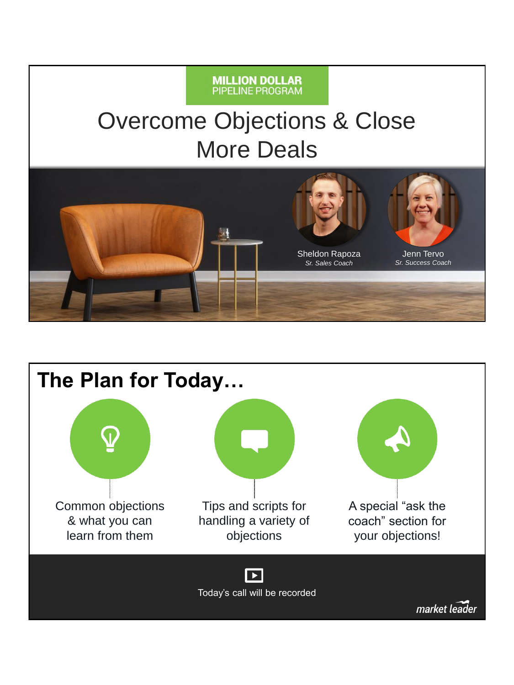#### **MILLION DOLLAR**<br>PIPELINE PROGRAM

### Overcome Objections & Close More Deals



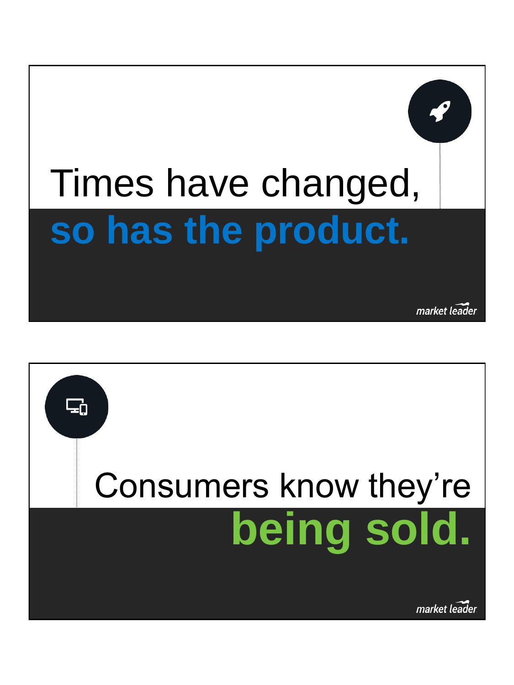# Times have changed, **so has the product.**

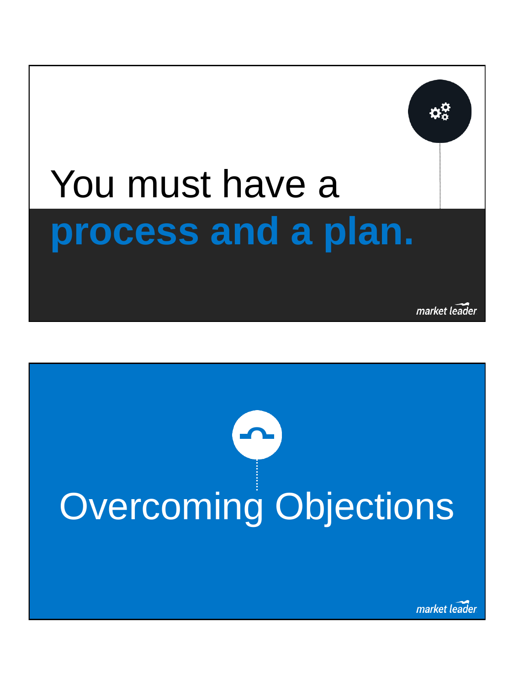## You must have a **process and a plan.**

market leader

# Overcoming Objections **O**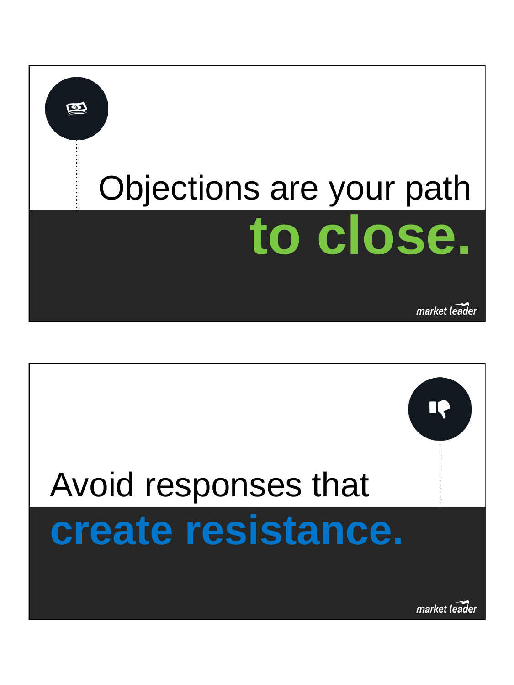

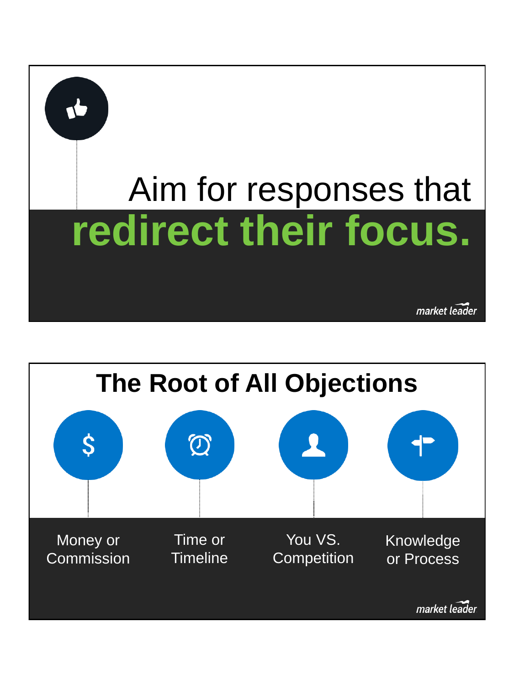

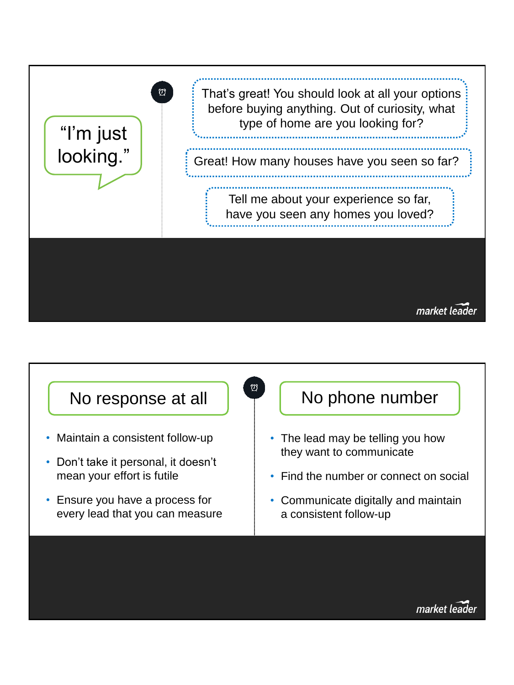

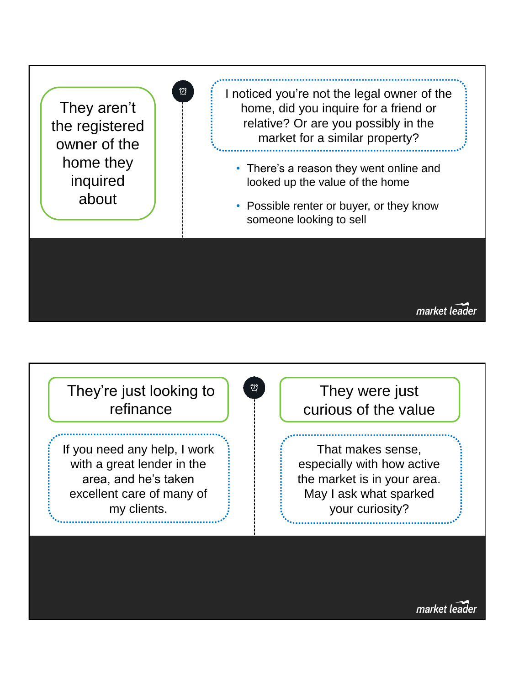

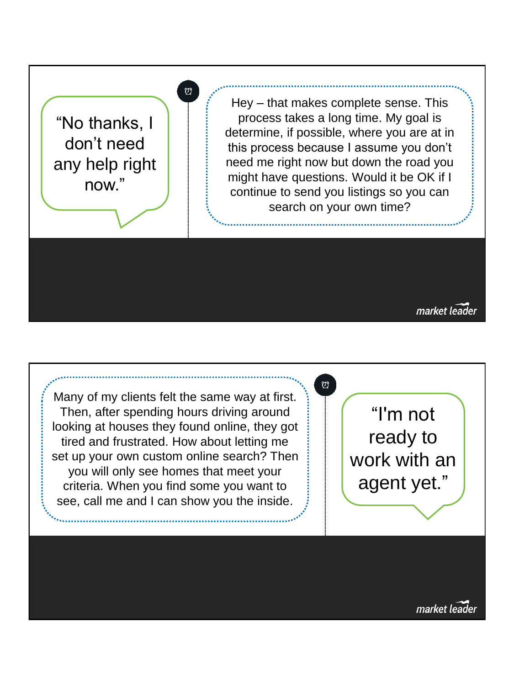"No thanks, I don't need any help right now."

∞

Hey – that makes complete sense. This process takes a long time. My goal is determine, if possible, where you are at in this process because I assume you don't need me right now but down the road you might have questions. Would it be OK if I continue to send you listings so you can search on your own time?

market leader

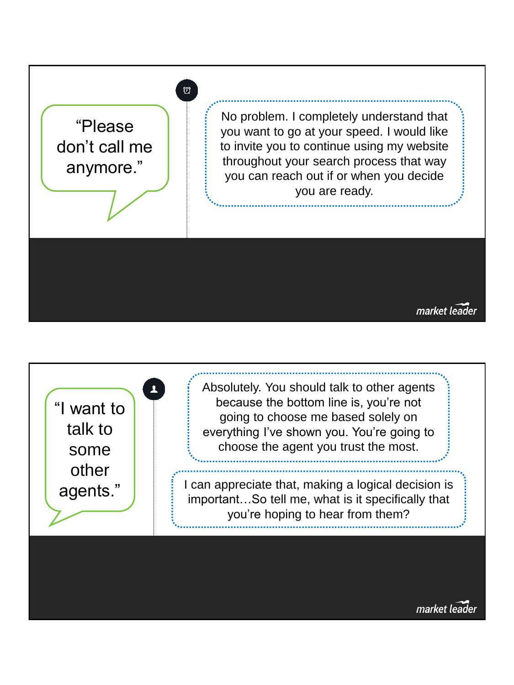

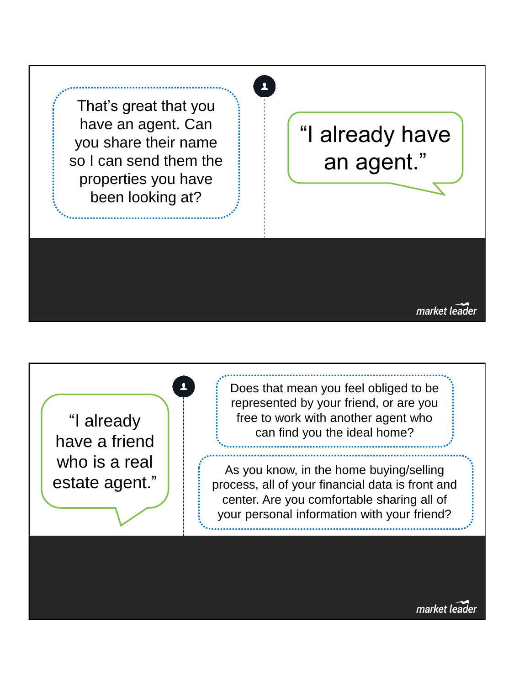That's great that you have an agent. Can you share their name so I can send them the properties you have been looking at?

### "I already have an agent."

 $\overline{\mathbf{A}}$ 

market leader

"I already have a friend who is a real estate agent." Does that mean you feel obliged to be represented by your friend, or are you free to work with another agent who can find you the ideal home?

As you know, in the home buying/selling process, all of your financial data is front and center. Are you comfortable sharing all of your personal information with your friend?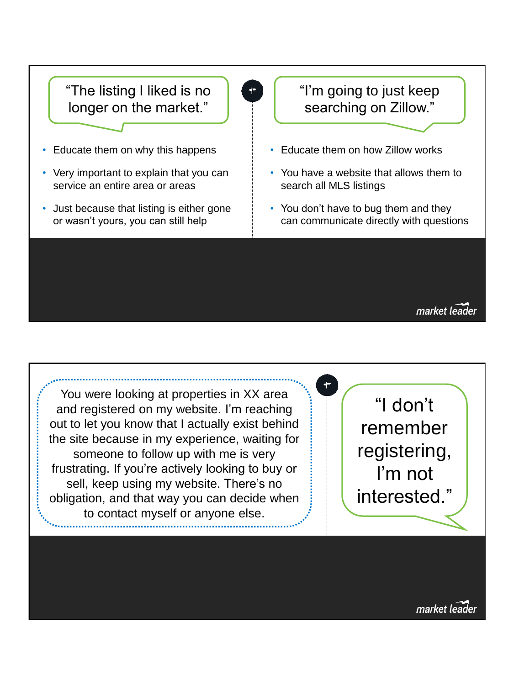

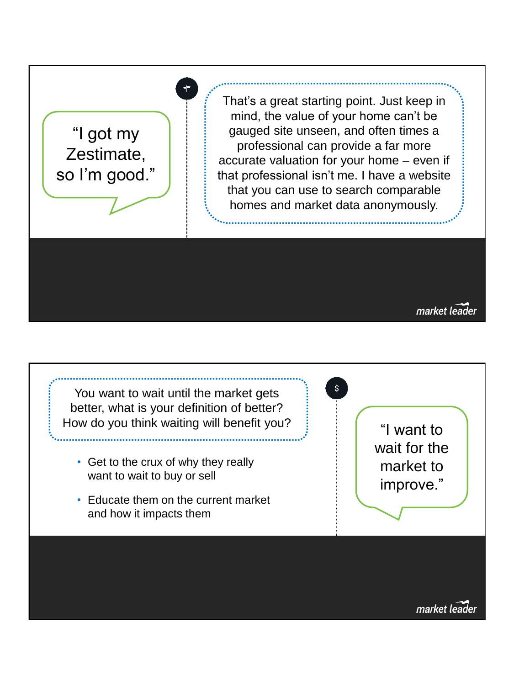

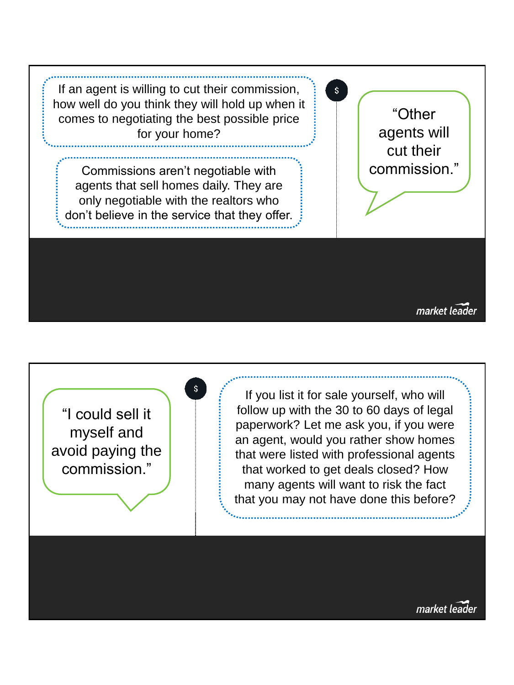

"I could sell it myself and avoid paying the commission."

If you list it for sale yourself, who will follow up with the 30 to 60 days of legal paperwork? Let me ask you, if you were an agent, would you rather show homes that were listed with professional agents that worked to get deals closed? How many agents will want to risk the fact that you may not have done this before?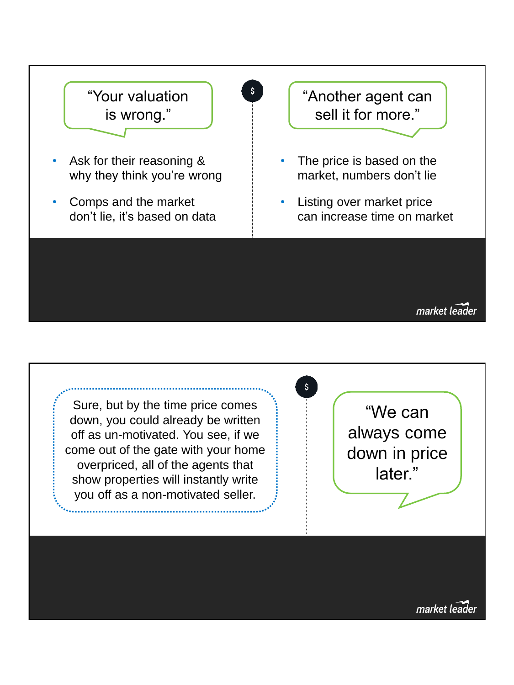